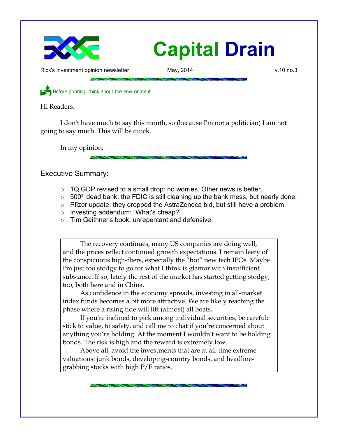

Rick's investment opinion newsletter May, 2014 and May, 2014 v.10 no.3

Before printing, think about the environment

Hi Readers,

I don't have much to say this month, so (because I'm not a politician) I am not going to say much. This will be quick.

In my opinion:

Executive Summary:

- $\circ$  1Q GDP revised to a small drop: no worries. Other news is better.
- $\circ$  500<sup>th</sup> dead bank: the FDIC is still cleaning up the bank mess, but nearly done.
- Pfizer update: they dropped the AstraZeneca bid, but still have a problem.
- o Investing addendum: "What's cheap?"
- Tim Geithner's book: unrepentant and defensive.

The recovery continues, many US companies are doing well, and the prices reflect continued growth expectations. I remain leery of the conspicuous high-fliers, especially the "hot" new tech IPOs. Maybe I'm just too stodgy to go for what I think is glamor with insufficient substance. If so, lately the rest of the market has started getting stodgy, too, both here and in China.

As confidence in the economy spreads, investing in all-market index funds becomes a bit more attractive. We are likely reaching the phase where a rising tide will lift (almost) all boats.

If you're inclined to pick among individual securities, be careful: stick to value, to safety, and call me to chat if you're concerned about anything you're holding. At the moment I wouldn't want to be holding bonds. The risk is high and the reward is extremely low.

Above all, avoid the investments that are at all-time extreme valuations: junk bonds, developing-country bonds, and headlinegrabbing stocks with high P/E ratios.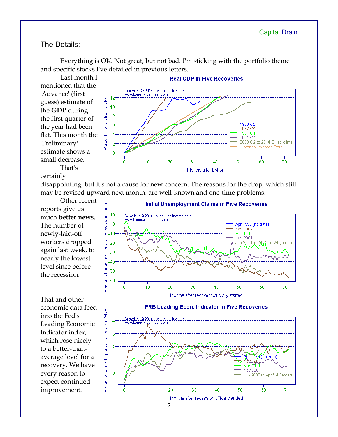### The Details:

Everything is OK. Not great, but not bad. I'm sticking with the portfolio theme and specific stocks I've detailed in previous letters.

Last month I **Real GDP in Five Recoveries** mentioned that the Copyright © 2014 Longsplice Investments<br>www.LongspliceInvest.com 'Advance' (first Percent change from bottom  $12$ guess) estimate of  $10$ the **GDP** during  $\mathbf{\mathsf{R}}$ the first quarter of 958 6 the year had been 1982 Q4 1991 Q1 flat. This month the  $\overline{A}$ 2001-04 2009 Q2 to 2014 Q1 (prelim) 'Preliminary' **Historical Average Rate** estimate shows a ň small decrease.  $\ddot{\mathbf{0}}$  $10$  $\overline{20}$  $\overline{30}$  $\overline{40}$ 50 60 70 That's Months after bottom

#### certainly

disappointing, but it's not a cause for new concern. The reasons for the drop, which still may be revised upward next month, are well-known and one-time problems.

Other recent reports give us much **better news**. The number of newly-laid-off workers dropped again last week, to nearly the lowest level since before the recession.

That and other economic data feed into the Fed's Leading Economic Indicator index, which rose nicely to a better-thanaverage level for a recovery. We have every reason to expect continued improvement.



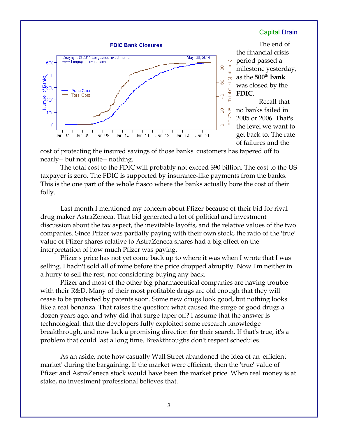

The end of the financial crisis period passed a milestone yesterday, as the **500th bank** was closed by the **FDIC**. Recall that no banks failed in 2005 or 2006. That's the level we want to get back to. The rate of failures and the

cost of protecting the insured savings of those banks' customers has tapered off to nearly-- but not quite-- nothing.

The total cost to the FDIC will probably not exceed \$90 billion. The cost to the US taxpayer is zero. The FDIC is supported by insurance-like payments from the banks. This is the one part of the whole fiasco where the banks actually bore the cost of their folly.

Last month I mentioned my concern about Pfizer because of their bid for rival drug maker AstraZeneca. That bid generated a lot of political and investment discussion about the tax aspect, the inevitable layoffs, and the relative values of the two companies. Since Pfizer was partially paying with their own stock, the ratio of the 'true' value of Pfizer shares relative to AstraZeneca shares had a big effect on the interpretation of how much Pfizer was paying.

Pfizer's price has not yet come back up to where it was when I wrote that I was selling. I hadn't sold all of mine before the price dropped abruptly. Now I'm neither in a hurry to sell the rest, nor considering buying any back.

Pfizer and most of the other big pharmaceutical companies are having trouble with their R&D. Many of their most profitable drugs are old enough that they will cease to be protected by patents soon. Some new drugs look good, but nothing looks like a real bonanza. That raises the question: what caused the surge of good drugs a dozen years ago, and why did that surge taper off? I assume that the answer is technological: that the developers fully exploited some research knowledge breakthrough, and now lack a promising direction for their search. If that's true, it's a problem that could last a long time. Breakthroughs don't respect schedules.

As an aside, note how casually Wall Street abandoned the idea of an 'efficient market' during the bargaining. If the market were efficient, then the 'true' value of Pfizer and AstraZeneca stock would have been the market price. When real money is at stake, no investment professional believes that.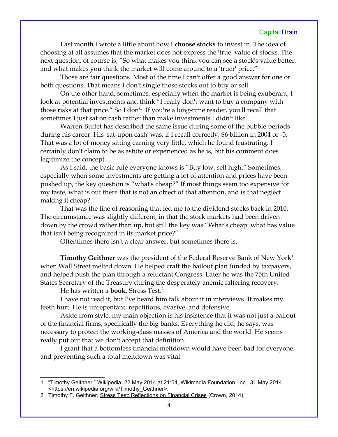Last month I wrote a little about how I **choose stocks** to invest in. The idea of choosing at all assumes that the market does not express the 'true' value of stocks. The next question, of course is, "So what makes you think you can see a stock's value better, and what makes you think the market will come around to a 'truer' price."

Those are fair questions. Most of the time I can't offer a good answer for one or both questions. That means I don't single those stocks out to buy or sell.

On the other hand, sometimes, especially when the market is being exuberant, I look at potential investments and think "I really don't want to buy a company with those risks at that price." So I don't. If you're a long-time reader, you'll recall that sometimes I just sat on cash rather than make investments I didn't like.

Warren Buffet has described the same issue during some of the bubble periods during his career. His 'sat-upon cash' was, if I recall correctly, \$6 billion in 2004 or -5. That was a lot of money sitting earning very little, which he found frustrating. I certainly don't claim to be as astute or experienced as he is, but his comment does legitimize the concept.

As I said, the basic rule everyone knows is "Buy low, sell high." Sometimes, especially when some investments are getting a lot of attention and prices have been pushed up, the key question is "what's cheap?" If most things seem too expensive for my taste, what is out there that is not an object of that attention, and is that neglect making it cheap?

That was the line of reasoning that led me to the dividend stocks back in 2010. The circumstance was slightly different, in that the stock markets had been driven down by the crowd rather than up, but still the key was "What's cheap: what has value that isn't being recognized in its market price?"

Oftentimes there isn't a clear answer, but sometimes there is.

**Timothy Geithner** was the president of the Federal Reserve Bank of New York<sup>[1](#page-3-0)</sup> when Wall Street melted down. He helped craft the bailout plan funded by taxpayers, and helped push the plan through a reluctant Congress. Later he was the 75th United States Secretary of the Treasury during the desperately anemic faltering recovery.

He has written a **book**, Stress Test. [2](#page-3-1)

I have not read it, but I've heard him talk about it in interviews. It makes my teeth hurt. He is unrepentant, repetitious, evasive, and defensive.

Aside from style, my main objection is his insistence that it was not just a bailout of the financial firms, specifically the big banks. Everything he did, he says, was necessary to protect the working-class masses of America and the world. He seems really put out that we don't accept that definition.

I grant that a bottomless financial meltdown would have been bad for everyone, and preventing such a total meltdown was vital.

<span id="page-3-0"></span><sup>1</sup> "Timothy Geithner," Wikipedia, 22 May 2014 at 21:54, Wikimedia Foundation, Inc., 31 May 2014 <https://en.wikipedia.org/wiki/Timothy\_Geithner>.

<span id="page-3-1"></span><sup>2</sup> Timothy F. Geithner, Stress Test: Reflections on Financial Crises (Crown, 2014).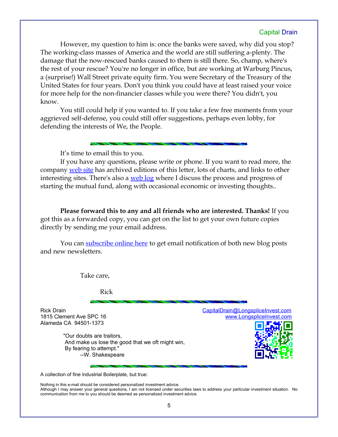However, my question to him is: once the banks were saved, why did you stop? The working-class masses of America and the world are still suffering a-plenty. The damage that the now-rescued banks caused to them is still there. So, champ, where's the rest of your rescue? You're no longer in office, but are working at Warburg Pincus, a (surprise!) Wall Street private equity firm. You were Secretary of the Treasury of the United States for four years. Don't you think you could have at least raised your voice for more help for the non-financier classes while you were there? You didn't, you know.

You still could help if you wanted to. If you take a few free moments from your aggrieved self-defense, you could still offer suggestions, perhaps even lobby, for defending the interests of We, the People.

It's time to email this to you.

If you have any questions, please write or phone. If you want to read more, the company [web site](http://www.LongspliceInvest.com/newsletter.shtml) has archived editions of this letter, lots of charts, and links to other interesting sites. There's also a [web log](http://www.LongspliceInvestments.com/ricksblog) where I discuss the process and progress of starting the mutual fund, along with occasional economic or investing thoughts..

**Please forward this to any and all friends who are interested. Thanks!** If you got this as a forwarded copy, you can get on the list to get your own future copies directly by sending me your email address.

You can [subscribe online here](http://www.longspliceinvest.com/ricksblog/subscribe/) to get email notification of both new blog posts and new newsletters.

Take care,

Rick

Alameda CA 94501-1373

 "Our doubts are traitors, And make us lose the good that we oft might win, By fearing to attempt." --W. Shakespeare





A collection of fine industrial Boilerplate, but true:

Nothing in this e-mail should be considered personalized investment advice. Although I may answer your general questions, I am not licensed under securities laws to address your particular investment situation. No communication from me to you should be deemed as personalized investment advice.